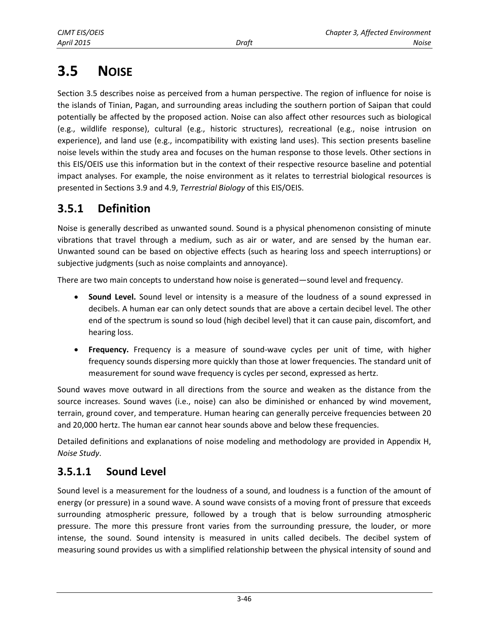# **3.5 NOISE**

Section 3.5 describes noise as perceived from a human perspective. The region of influence for noise is the islands of Tinian, Pagan, and surrounding areas including the southern portion of Saipan that could potentially be affected by the proposed action. Noise can also affect other resources such as biological (e.g., wildlife response), cultural (e.g., historic structures), recreational (e.g., noise intrusion on experience), and land use (e.g., incompatibility with existing land uses). This section presents baseline noise levels within the study area and focuses on the human response to those levels. Other sections in this EIS/OEIS use this information but in the context of their respective resource baseline and potential impact analyses. For example, the noise environment as it relates to terrestrial biological resources is presented in Sections 3.9 and 4.9, *Terrestrial Biology* of this EIS/OEIS.

# **3.5.1 Definition**

Noise is generally described as unwanted sound. Sound is a physical phenomenon consisting of minute vibrations that travel through a medium, such as air or water, and are sensed by the human ear. Unwanted sound can be based on objective effects (such as hearing loss and speech interruptions) or subjective judgments (such as noise complaints and annoyance).

There are two main concepts to understand how noise is generated—sound level and frequency.

- **Sound Level.** Sound level or intensity is a measure of the loudness of a sound expressed in decibels. A human ear can only detect sounds that are above a certain decibel level. The other end of the spectrum is sound so loud (high decibel level) that it can cause pain, discomfort, and hearing loss.
- **Frequency.** Frequency is a measure of sound-wave cycles per unit of time, with higher frequency sounds dispersing more quickly than those at lower frequencies. The standard unit of measurement for sound wave frequency is cycles per second, expressed as hertz.

Sound waves move outward in all directions from the source and weaken as the distance from the source increases. Sound waves (i.e., noise) can also be diminished or enhanced by wind movement, terrain, ground cover, and temperature. Human hearing can generally perceive frequencies between 20 and 20,000 hertz. The human ear cannot hear sounds above and below these frequencies.

Detailed definitions and explanations of noise modeling and methodology are provided in Appendix H, *Noise Study*.

### **3.5.1.1 Sound Level**

Sound level is a measurement for the loudness of a sound, and loudness is a function of the amount of energy (or pressure) in a sound wave. A sound wave consists of a moving front of pressure that exceeds surrounding atmospheric pressure, followed by a trough that is below surrounding atmospheric pressure. The more this pressure front varies from the surrounding pressure, the louder, or more intense, the sound. Sound intensity is measured in units called decibels. The decibel system of measuring sound provides us with a simplified relationship between the physical intensity of sound and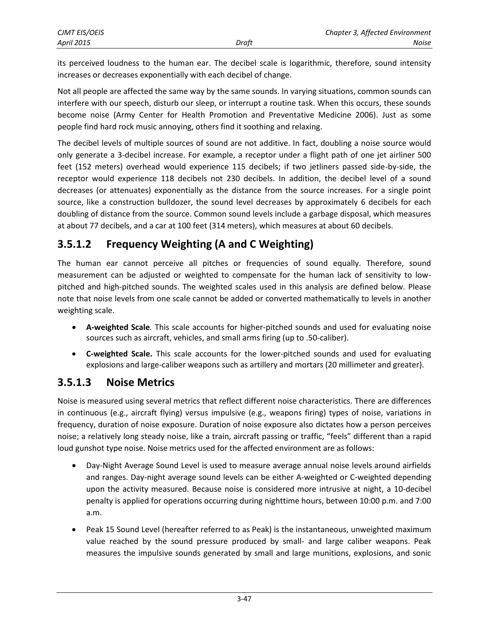its perceived loudness to the human ear. The decibel scale is logarithmic, therefore, sound intensity increases or decreases exponentially with each decibel of change.

Not all people are affected the same way by the same sounds. In varying situations, common sounds can interfere with our speech, disturb our sleep, or interrupt a routine task. When this occurs, these sounds become noise (Army Center for Health Promotion and Preventative Medicine 2006). Just as some people find hard rock music annoying, others find it soothing and relaxing.

The decibel levels of multiple sources of sound are not additive. In fact, doubling a noise source would only generate a 3-decibel increase. For example, a receptor under a flight path of one jet airliner 500 feet (152 meters) overhead would experience 115 decibels; if two jetliners passed side-by-side, the receptor would experience 118 decibels not 230 decibels. In addition, the decibel level of a sound decreases (or attenuates) exponentially as the distance from the source increases. For a single point source, like a construction bulldozer, the sound level decreases by approximately 6 decibels for each doubling of distance from the source. Common sound levels include a garbage disposal, which measures at about 77 decibels, and a car at 100 feet (314 meters), which measures at about 60 decibels.

# **3.5.1.2 Frequency Weighting (A and C Weighting)**

The human ear cannot perceive all pitches or frequencies of sound equally. Therefore, sound measurement can be adjusted or weighted to compensate for the human lack of sensitivity to lowpitched and high-pitched sounds. The weighted scales used in this analysis are defined below. Please note that noise levels from one scale cannot be added or converted mathematically to levels in another weighting scale.

- **A-weighted Scale***.* This scale accounts for higher-pitched sounds and used for evaluating noise sources such as aircraft, vehicles, and small arms firing (up to .50-caliber).
- **C-weighted Scale.** This scale accounts for the lower-pitched sounds and used for evaluating explosions and large-caliber weapons such as artillery and mortars (20 millimeter and greater).

### **3.5.1.3 Noise Metrics**

Noise is measured using several metrics that reflect different noise characteristics. There are differences in continuous (e.g., aircraft flying) versus impulsive (e.g., weapons firing) types of noise, variations in frequency, duration of noise exposure. Duration of noise exposure also dictates how a person perceives noise; a relatively long steady noise, like a train, aircraft passing or traffic, "feels" different than a rapid loud gunshot type noise. Noise metrics used for the affected environment are as follows:

- Day-Night Average Sound Level is used to measure average annual noise levels around airfields and ranges. Day-night average sound levels can be either A-weighted or C-weighted depending upon the activity measured. Because noise is considered more intrusive at night, a 10-decibel penalty is applied for operations occurring during nighttime hours, between 10:00 p.m. and 7:00 a.m.
- Peak 15 Sound Level (hereafter referred to as Peak) is the instantaneous, unweighted maximum value reached by the sound pressure produced by small- and large caliber weapons. Peak measures the impulsive sounds generated by small and large munitions, explosions, and sonic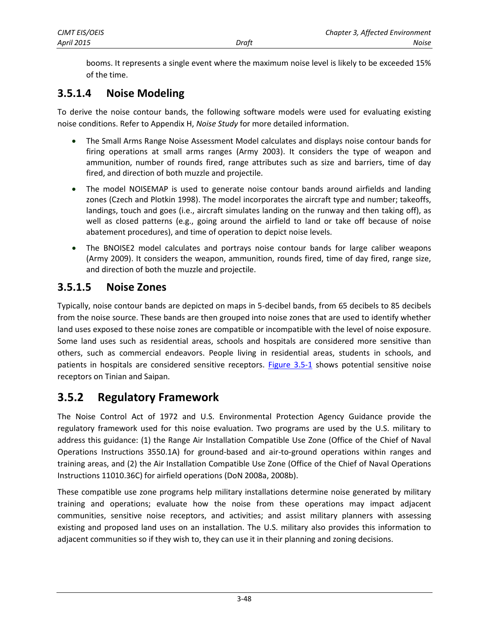booms. It represents a single event where the maximum noise level is likely to be exceeded 15% of the time.

### **3.5.1.4 Noise Modeling**

To derive the noise contour bands, the following software models were used for evaluating existing noise conditions. Refer to Appendix H, *Noise Study* for more detailed information.

- The Small Arms Range Noise Assessment Model calculates and displays noise contour bands for firing operations at small arms ranges (Army 2003). It considers the type of weapon and ammunition, number of rounds fired, range attributes such as size and barriers, time of day fired, and direction of both muzzle and projectile.
- The model NOISEMAP is used to generate noise contour bands around airfields and landing zones (Czech and Plotkin 1998). The model incorporates the aircraft type and number; takeoffs, landings, touch and goes (i.e., aircraft simulates landing on the runway and then taking off), as well as closed patterns (e.g., going around the airfield to land or take off because of noise abatement procedures), and time of operation to depict noise levels.
- The BNOISE2 model calculates and portrays noise contour bands for large caliber weapons (Army 2009). It considers the weapon, ammunition, rounds fired, time of day fired, range size, and direction of both the muzzle and projectile.

#### **3.5.1.5 Noise Zones**

Typically, noise contour bands are depicted on maps in 5-decibel bands, from 65 decibels to 85 decibels from the noise source. These bands are then grouped into noise zones that are used to identify whether land uses exposed to these noise zones are compatible or incompatible with the level of noise exposure. Some land uses such as residential areas, schools and hospitals are considered more sensitive than others, such as commercial endeavors. People living in residential areas, students in schools, and patients in hospitals are considered sensitive receptors. [Figure 3.5-1](#page-3-0) shows potential sensitive noise receptors on Tinian and Saipan.

# **3.5.2 Regulatory Framework**

The Noise Control Act of 1972 and U.S. Environmental Protection Agency Guidance provide the regulatory framework used for this noise evaluation. Two programs are used by the U.S. military to address this guidance: (1) the Range Air Installation Compatible Use Zone (Office of the Chief of Naval Operations Instructions 3550.1A) for ground-based and air-to-ground operations within ranges and training areas, and (2) the Air Installation Compatible Use Zone (Office of the Chief of Naval Operations Instructions 11010.36C) for airfield operations (DoN 2008a, 2008b).

These compatible use zone programs help military installations determine noise generated by military training and operations; evaluate how the noise from these operations may impact adjacent communities, sensitive noise receptors, and activities; and assist military planners with assessing existing and proposed land uses on an installation. The U.S. military also provides this information to adjacent communities so if they wish to, they can use it in their planning and zoning decisions.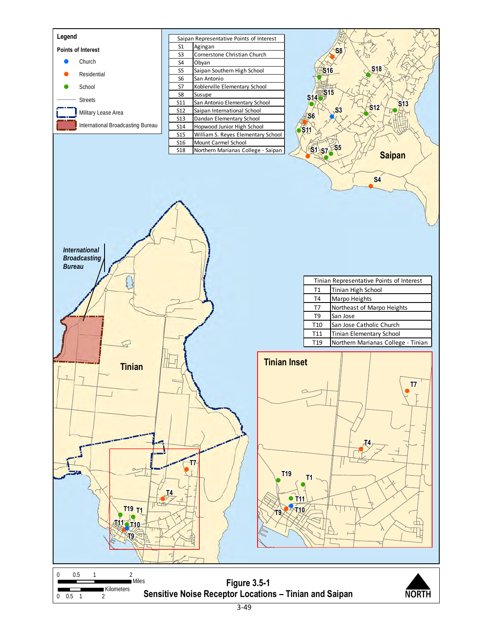<span id="page-3-0"></span>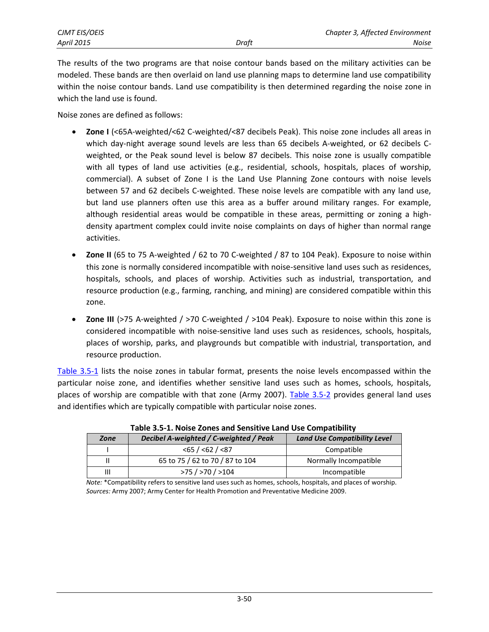| CJMT EIS/OEIS     |       | Chapter 3, Affected Environment |
|-------------------|-------|---------------------------------|
| <b>April 2015</b> | Draft | Noise                           |

The results of the two programs are that noise contour bands based on the military activities can be modeled. These bands are then overlaid on land use planning maps to determine land use compatibility within the noise contour bands. Land use compatibility is then determined regarding the noise zone in which the land use is found.

Noise zones are defined as follows:

- **Zone I** (<65A-weighted/<62 C-weighted/<87 decibels Peak). This noise zone includes all areas in which day-night average sound levels are less than 65 decibels A-weighted, or 62 decibels Cweighted, or the Peak sound level is below 87 decibels. This noise zone is usually compatible with all types of land use activities (e.g., residential, schools, hospitals, places of worship, commercial). A subset of Zone I is the Land Use Planning Zone contours with noise levels between 57 and 62 decibels C-weighted. These noise levels are compatible with any land use, but land use planners often use this area as a buffer around military ranges. For example, although residential areas would be compatible in these areas, permitting or zoning a highdensity apartment complex could invite noise complaints on days of higher than normal range activities.
- **Zone II** (65 to 75 A-weighted / 62 to 70 C-weighted / 87 to 104 Peak). Exposure to noise within this zone is normally considered incompatible with noise-sensitive land uses such as residences, hospitals, schools, and places of worship. Activities such as industrial, transportation, and resource production (e.g., farming, ranching, and mining) are considered compatible within this zone.
- **•** Zone III (>75 A-weighted / >70 C-weighted / >104 Peak). Exposure to noise within this zone is considered incompatible with noise-sensitive land uses such as residences, schools, hospitals, places of worship, parks, and playgrounds but compatible with industrial, transportation, and resource production.

[Table 3.5-1](#page-4-0) lists the noise zones in tabular format, presents the noise levels encompassed within the particular noise zone, and identifies whether sensitive land uses such as homes, schools, hospitals, places of worship are compatible with that zone (Army 2007). [Table 3.5-2](#page-5-0) provides general land uses and identifies which are typically compatible with particular noise zones.

<span id="page-4-0"></span>

| Zone | Decibel A-weighted / C-weighted / Peak | <b>Land Use Compatibility Level</b> |
|------|----------------------------------------|-------------------------------------|
|      | $<$ 65 / < 62 / < 87                   | Compatible                          |
| н    | 65 to 75 / 62 to 70 / 87 to 104        | Normally Incompatible               |
| Ш    | $>75$ / $>70$ / $>104$                 | Incompatible                        |

**Table 3.5-1. Noise Zones and Sensitive Land Use Compatibility**

*Note:* \*Compatibility refers to sensitive land uses such as homes, schools, hospitals, and places of worship. *Sources:* Army 2007; Army Center for Health Promotion and Preventative Medicine 2009.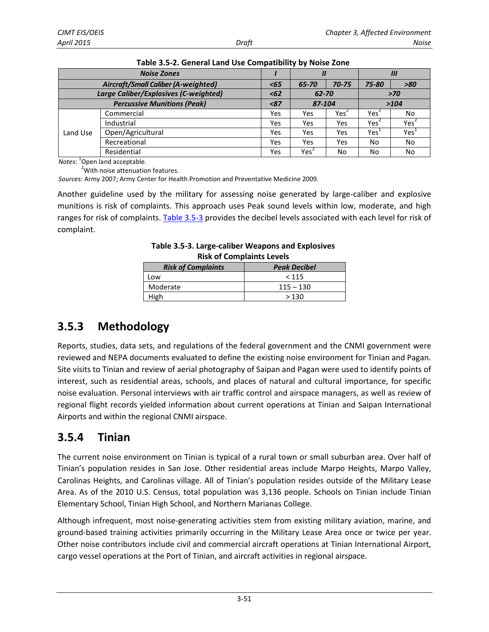<span id="page-5-0"></span>

| <b>Noise Zones</b>                         |                                    |      | Ш                |       | Ш                |       |
|--------------------------------------------|------------------------------------|------|------------------|-------|------------------|-------|
| <b>Aircraft/Small Caliber (A-weighted)</b> |                                    | $65$ | 65-70            | 70-75 | 75-80            | $>80$ |
| Large Caliber/Explosives (C-weighted)      |                                    | < 62 | 62-70            |       | $>70$            |       |
|                                            | <b>Percussive Munitions (Peak)</b> | < 87 | 87-104           |       |                  | >104  |
|                                            | Commercial                         | Yes  | Yes              | Yes   | Yes <sup>2</sup> | No    |
| Land Use                                   | Industrial                         | Yes  | Yes              | Yes   | Yes              | Yes   |
|                                            | Open/Agricultural                  | Yes  | Yes              | Yes   | Yes              | Yes   |
|                                            | Recreational                       | Yes  | Yes              | Yes   | No               | No    |
|                                            | Residential                        | Yes  | Yes <sup>4</sup> | No    | No               | No    |

*Notes*: 1 Open land acceptable.

<sup>2</sup>With noise attenuation features.

*Sources:* Army 2007; Army Center for Health Promotion and Preventative Medicine 2009*.*

Another guideline used by the military for assessing noise generated by large-caliber and explosive munitions is risk of complaints. This approach uses Peak sound levels within low, moderate, and high ranges for risk of complaints. [Table 3.5-3](#page-5-1) provides the decibel levels associated with each level for risk of complaint.

| <b>RISK Of Complaints Levels</b> |                     |  |
|----------------------------------|---------------------|--|
| <b>Risk of Complaints</b>        | <b>Peak Decibel</b> |  |
| Low                              | < 115               |  |
| Moderate                         | $115 - 130$         |  |
| High                             | >130                |  |

<span id="page-5-1"></span>

| Table 3.5-3. Large-caliber Weapons and Explosives |
|---------------------------------------------------|
| <b>Risk of Complaints Levels</b>                  |

# **3.5.3 Methodology**

Reports, studies, data sets, and regulations of the federal government and the CNMI government were reviewed and NEPA documents evaluated to define the existing noise environment for Tinian and Pagan. Site visits to Tinian and review of aerial photography of Saipan and Pagan were used to identify points of interest, such as residential areas, schools, and places of natural and cultural importance, for specific noise evaluation. Personal interviews with air traffic control and airspace managers, as well as review of regional flight records yielded information about current operations at Tinian and Saipan International Airports and within the regional CNMI airspace.

# **3.5.4 Tinian**

The current noise environment on Tinian is typical of a rural town or small suburban area. Over half of Tinian's population resides in San Jose. Other residential areas include Marpo Heights, Marpo Valley, Carolinas Heights, and Carolinas village. All of Tinian's population resides outside of the Military Lease Area. As of the 2010 U.S. Census, total population was 3,136 people. Schools on Tinian include Tinian Elementary School, Tinian High School, and Northern Marianas College.

Although infrequent, most noise-generating activities stem from existing military aviation, marine, and ground-based training activities primarily occurring in the Military Lease Area once or twice per year. Other noise contributors include civil and commercial aircraft operations at Tinian International Airport, cargo vessel operations at the Port of Tinian, and aircraft activities in regional airspace.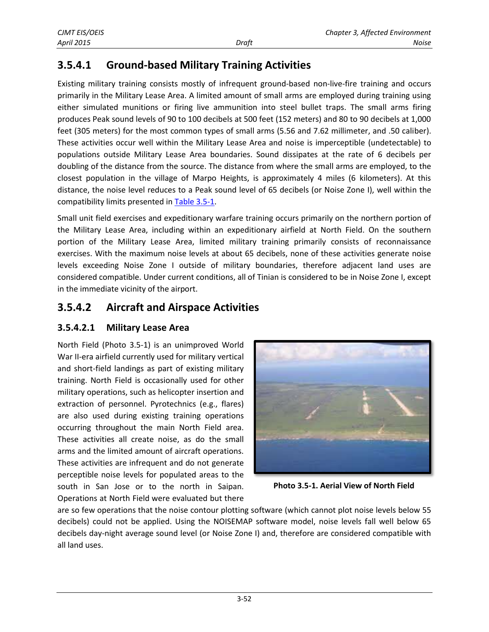# **3.5.4.1 Ground-based Military Training Activities**

Existing military training consists mostly of infrequent ground-based non-live-fire training and occurs primarily in the Military Lease Area. A limited amount of small arms are employed during training using either simulated munitions or firing live ammunition into steel bullet traps. The small arms firing produces Peak sound levels of 90 to 100 decibels at 500 feet (152 meters) and 80 to 90 decibels at 1,000 feet (305 meters) for the most common types of small arms (5.56 and 7.62 millimeter, and .50 caliber). These activities occur well within the Military Lease Area and noise is imperceptible (undetectable) to populations outside Military Lease Area boundaries. Sound dissipates at the rate of 6 decibels per doubling of the distance from the source. The distance from where the small arms are employed, to the closest population in the village of Marpo Heights, is approximately 4 miles (6 kilometers). At this distance, the noise level reduces to a Peak sound level of 65 decibels (or Noise Zone I), well within the compatibility limits presented i[n Table 3.5-1.](#page-4-0)

Small unit field exercises and expeditionary warfare training occurs primarily on the northern portion of the Military Lease Area, including within an expeditionary airfield at North Field. On the southern portion of the Military Lease Area, limited military training primarily consists of reconnaissance exercises. With the maximum noise levels at about 65 decibels, none of these activities generate noise levels exceeding Noise Zone I outside of military boundaries, therefore adjacent land uses are considered compatible. Under current conditions, all of Tinian is considered to be in Noise Zone I, except in the immediate vicinity of the airport.

### **3.5.4.2 Aircraft and Airspace Activities**

#### **3.5.4.2.1 Military Lease Area**

North Field (Photo 3.5-1) is an unimproved World War II-era airfield currently used for military vertical and short-field landings as part of existing military training. North Field is occasionally used for other military operations, such as helicopter insertion and extraction of personnel. Pyrotechnics (e.g., flares) are also used during existing training operations occurring throughout the main North Field area. These activities all create noise, as do the small arms and the limited amount of aircraft operations. These activities are infrequent and do not generate perceptible noise levels for populated areas to the south in San Jose or to the north in Saipan. Operations at North Field were evaluated but there



**Photo 3.5-1. Aerial View of North Field**

are so few operations that the noise contour plotting software (which cannot plot noise levels below 55 decibels) could not be applied. Using the NOISEMAP software model, noise levels fall well below 65 decibels day-night average sound level (or Noise Zone I) and, therefore are considered compatible with all land uses.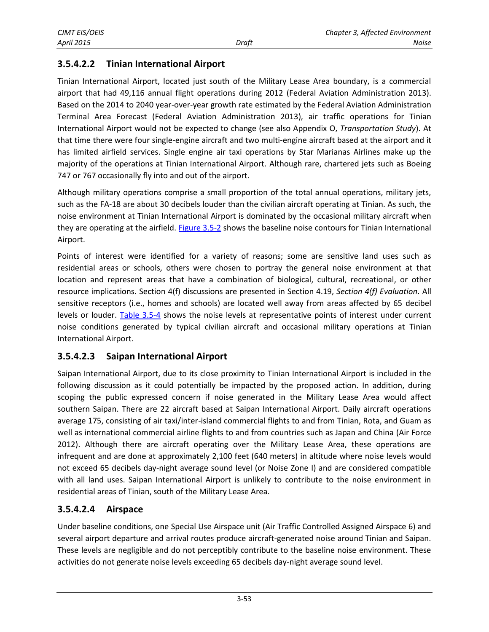#### **3.5.4.2.2 Tinian International Airport**

Tinian International Airport, located just south of the Military Lease Area boundary, is a commercial airport that had 49,116 annual flight operations during 2012 (Federal Aviation Administration 2013). Based on the 2014 to 2040 year-over-year growth rate estimated by the Federal Aviation Administration Terminal Area Forecast (Federal Aviation Administration 2013), air traffic operations for Tinian International Airport would not be expected to change (see also Appendix O, *Transportation Study*). At that time there were four single-engine aircraft and two multi-engine aircraft based at the airport and it has limited airfield services. Single engine air taxi operations by Star Marianas Airlines make up the majority of the operations at Tinian International Airport. Although rare, chartered jets such as Boeing 747 or 767 occasionally fly into and out of the airport.

Although military operations comprise a small proportion of the total annual operations, military jets, such as the FA-18 are about 30 decibels louder than the civilian aircraft operating at Tinian. As such, the noise environment at Tinian International Airport is dominated by the occasional military aircraft when they are operating at the airfield. [Figure 3.5-2](#page-8-0) shows the baseline noise contours for Tinian International Airport.

Points of interest were identified for a variety of reasons; some are sensitive land uses such as residential areas or schools, others were chosen to portray the general noise environment at that location and represent areas that have a combination of biological, cultural, recreational, or other resource implications. Section 4(f) discussions are presented in Section 4.19, *Section 4(f) Evaluation*. All sensitive receptors (i.e., homes and schools) are located well away from areas affected by 65 decibel levels or louder. [Table 3.5-4](#page-9-0) shows the noise levels at representative points of interest under current noise conditions generated by typical civilian aircraft and occasional military operations at Tinian International Airport.

#### **3.5.4.2.3 Saipan International Airport**

Saipan International Airport, due to its close proximity to Tinian International Airport is included in the following discussion as it could potentially be impacted by the proposed action. In addition, during scoping the public expressed concern if noise generated in the Military Lease Area would affect southern Saipan. There are 22 aircraft based at Saipan International Airport. Daily aircraft operations average 175, consisting of air taxi/inter-island commercial flights to and from Tinian, Rota, and Guam as well as international commercial airline flights to and from countries such as Japan and China (Air Force 2012). Although there are aircraft operating over the Military Lease Area, these operations are infrequent and are done at approximately 2,100 feet (640 meters) in altitude where noise levels would not exceed 65 decibels day-night average sound level (or Noise Zone I) and are considered compatible with all land uses. Saipan International Airport is unlikely to contribute to the noise environment in residential areas of Tinian, south of the Military Lease Area.

#### **3.5.4.2.4 Airspace**

Under baseline conditions, one Special Use Airspace unit (Air Traffic Controlled Assigned Airspace 6) and several airport departure and arrival routes produce aircraft-generated noise around Tinian and Saipan. These levels are negligible and do not perceptibly contribute to the baseline noise environment. These activities do not generate noise levels exceeding 65 decibels day-night average sound level.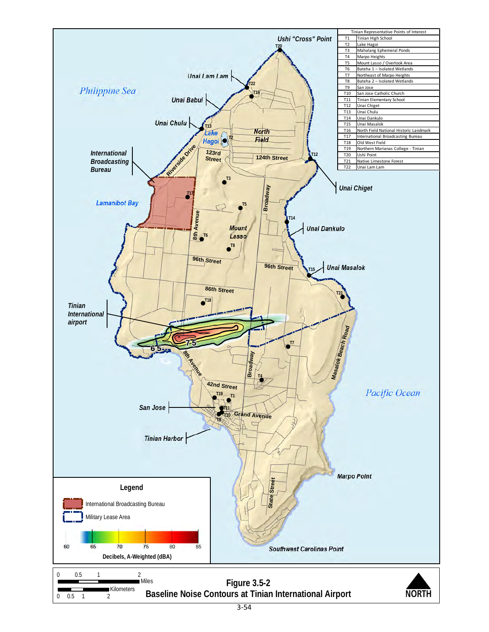<span id="page-8-0"></span>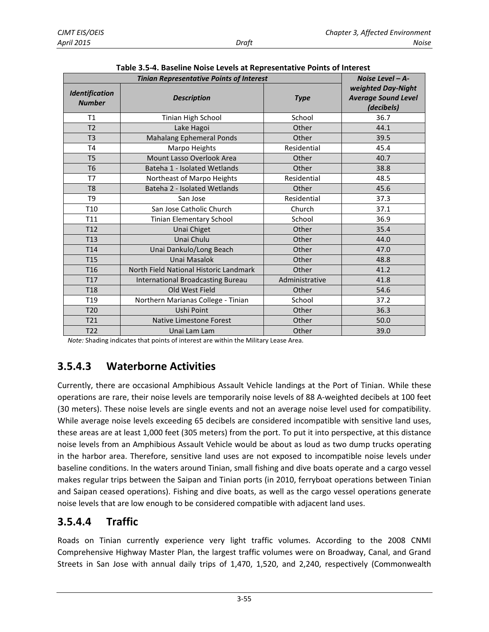| rable 3.3-4. Daseline ivolse Levels at Representative Follits of Interest |                                          |                |                                                                |  |
|---------------------------------------------------------------------------|------------------------------------------|----------------|----------------------------------------------------------------|--|
| <b>Tinian Representative Points of Interest</b>                           |                                          |                | Noise Level $-A$ -                                             |  |
| Identification<br><b>Number</b>                                           | <b>Description</b>                       | <b>Type</b>    | weighted Day-Night<br><b>Average Sound Level</b><br>(decibels) |  |
| T1                                                                        | Tinian High School                       | School         | 36.7                                                           |  |
| T <sub>2</sub>                                                            | Lake Hagoi                               | Other          | 44.1                                                           |  |
| T <sub>3</sub>                                                            | <b>Mahalang Ephemeral Ponds</b>          | Other          | 39.5                                                           |  |
| T <sub>4</sub>                                                            | Marpo Heights                            | Residential    | 45.4                                                           |  |
| T <sub>5</sub>                                                            | Mount Lasso Overlook Area                | Other          | 40.7                                                           |  |
| T <sub>6</sub>                                                            | Bateha 1 - Isolated Wetlands             | Other          | 38.8                                                           |  |
| T7                                                                        | Northeast of Marpo Heights               | Residential    | 48.5                                                           |  |
| T <sub>8</sub>                                                            | Bateha 2 - Isolated Wetlands             | Other          | 45.6                                                           |  |
| T <sub>9</sub>                                                            | San Jose                                 | Residential    | 37.3                                                           |  |
| T <sub>10</sub>                                                           | San Jose Catholic Church                 | Church         | 37.1                                                           |  |
| T11                                                                       | Tinian Elementary School                 | School         | 36.9                                                           |  |
| T <sub>12</sub>                                                           | Unai Chiget                              | Other          | 35.4                                                           |  |
| T13                                                                       | Unai Chulu                               | Other          | 44.0                                                           |  |
| T <sub>14</sub>                                                           | Unai Dankulo/Long Beach                  | Other          | 47.0                                                           |  |
| T <sub>15</sub>                                                           | Unai Masalok                             | Other          | 48.8                                                           |  |
| T <sub>16</sub>                                                           | North Field National Historic Landmark   | Other          | 41.2                                                           |  |
| T <sub>17</sub>                                                           | <b>International Broadcasting Bureau</b> | Administrative | 41.8                                                           |  |
| T <sub>18</sub>                                                           | Old West Field                           | Other          | 54.6                                                           |  |
| T <sub>19</sub>                                                           | Northern Marianas College - Tinian       | School         | 37.2                                                           |  |
| T <sub>20</sub>                                                           | Ushi Point                               | Other          | 36.3                                                           |  |
| T <sub>21</sub>                                                           | Native Limestone Forest                  | Other          | 50.0                                                           |  |
| T <sub>22</sub>                                                           | Unai Lam Lam                             | Other          | 39.0                                                           |  |

<span id="page-9-0"></span>**Table 3.5-4. Baseline Noise Levels at Representative Points of Interest**

*Note:* Shading indicates that points of interest are within the Military Lease Area.

# **3.5.4.3 Waterborne Activities**

Currently, there are occasional Amphibious Assault Vehicle landings at the Port of Tinian. While these operations are rare, their noise levels are temporarily noise levels of 88 A-weighted decibels at 100 feet (30 meters). These noise levels are single events and not an average noise level used for compatibility. While average noise levels exceeding 65 decibels are considered incompatible with sensitive land uses, these areas are at least 1,000 feet (305 meters) from the port. To put it into perspective, at this distance noise levels from an Amphibious Assault Vehicle would be about as loud as two dump trucks operating in the harbor area. Therefore, sensitive land uses are not exposed to incompatible noise levels under baseline conditions. In the waters around Tinian, small fishing and dive boats operate and a cargo vessel makes regular trips between the Saipan and Tinian ports (in 2010, ferryboat operations between Tinian and Saipan ceased operations). Fishing and dive boats, as well as the cargo vessel operations generate noise levels that are low enough to be considered compatible with adjacent land uses.

### **3.5.4.4 Traffic**

Roads on Tinian currently experience very light traffic volumes. According to the 2008 CNMI Comprehensive Highway Master Plan, the largest traffic volumes were on Broadway, Canal, and Grand Streets in San Jose with annual daily trips of 1,470, 1,520, and 2,240, respectively (Commonwealth